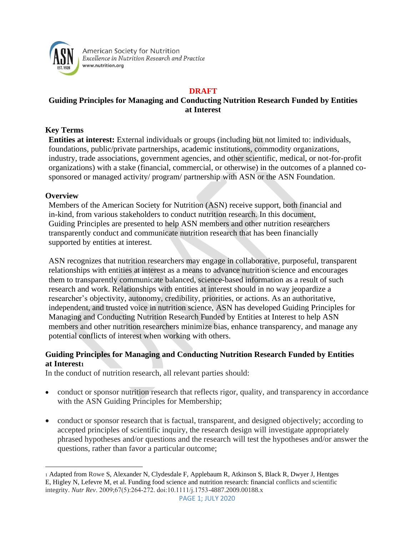

American Society for Nutrition Excellence in Nutrition Research and Practice www.nutrition.org

### **DRAFT**

# **Guiding Principles for Managing and Conducting Nutrition Research Funded by Entities at Interest**

## **Key Terms**

**Entities at interest:** External individuals or groups (including but not limited to: individuals, foundations, public/private partnerships, academic institutions, commodity organizations, industry, trade associations, government agencies, and other scientific, medical, or not-for-profit organizations) with a stake (financial, commercial, or otherwise) in the outcomes of a planned cosponsored or managed activity/ program/ partnership with ASN or the ASN Foundation.

#### **Overview**

Members of the American Society for Nutrition (ASN) receive support, both financial and in-kind, from various stakeholders to conduct nutrition research. In this document, Guiding Principles are presented to help ASN members and other nutrition researchers transparently conduct and communicate nutrition research that has been financially supported by entities at interest.

ASN recognizes that nutrition researchers may engage in collaborative, purposeful, transparent relationships with entities at interest as a means to advance nutrition science and encourages them to transparently communicate balanced, science-based information as a result of such research and work. Relationships with entities at interest should in no way jeopardize a researcher's objectivity, autonomy, credibility, priorities, or actions. As an authoritative, independent, and trusted voice in nutrition science, ASN has developed Guiding Principles for Managing and Conducting Nutrition Research Funded by Entities at Interest to help ASN members and other nutrition researchers minimize bias, enhance transparency, and manage any potential conflicts of interest when working with others.

## **Guiding Principles for Managing and Conducting Nutrition Research Funded by Entities at Interest<sup>1</sup>**

In the conduct of nutrition research, all relevant parties should:

- conduct or sponsor nutrition research that reflects rigor, quality, and transparency in accordance with the ASN Guiding Principles for Membership;
- conduct or sponsor research that is factual, transparent, and designed objectively; according to accepted principles of scientific inquiry, the research design will investigate appropriately phrased hypotheses and/or questions and the research will test the hypotheses and/or answer the questions, rather than favor a particular outcome;

<sup>1</sup> Adapted from Rowe S, Alexander N, Clydesdale F, Applebaum R, Atkinson S, Black R, Dwyer J, Hentges E, Higley N, Lefevre M, et al. Funding food science and nutrition research: financial conflicts and scientific integrity. *Nutr Rev*. 2009;67(5):264‐272. doi:10.1111/j.1753-4887.2009.00188.x